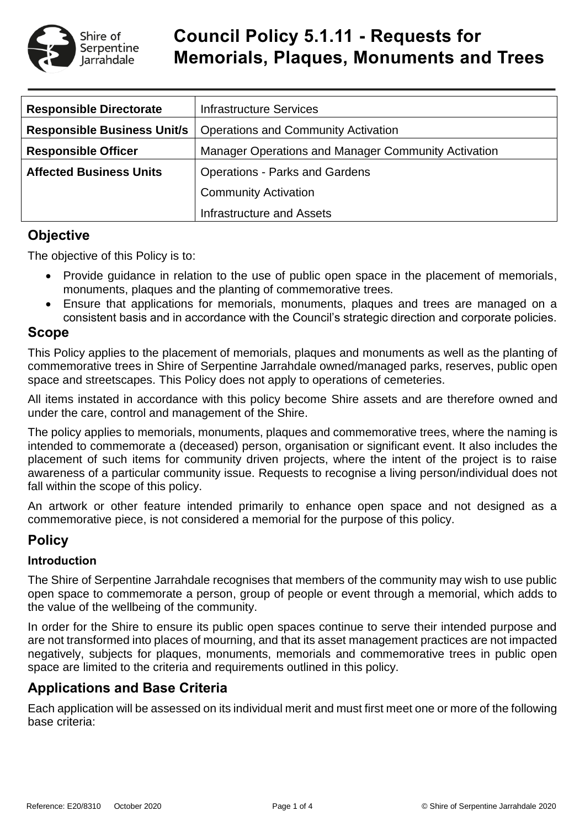

# **Council Policy 5.1.11 - Requests for Memorials, Plaques, Monuments and Trees**

| <b>Responsible Directorate</b>     | <b>Infrastructure Services</b>                      |  |  |  |
|------------------------------------|-----------------------------------------------------|--|--|--|
| <b>Responsible Business Unit/s</b> | <b>Operations and Community Activation</b>          |  |  |  |
| <b>Responsible Officer</b>         | Manager Operations and Manager Community Activation |  |  |  |
| <b>Affected Business Units</b>     | <b>Operations - Parks and Gardens</b>               |  |  |  |
|                                    | <b>Community Activation</b>                         |  |  |  |
|                                    | Infrastructure and Assets                           |  |  |  |

### **Objective**

The objective of this Policy is to:

- Provide guidance in relation to the use of public open space in the placement of memorials, monuments, plaques and the planting of commemorative trees.
- Ensure that applications for memorials, monuments, plaques and trees are managed on a consistent basis and in accordance with the Council's strategic direction and corporate policies.

### **Scope**

This Policy applies to the placement of memorials, plaques and monuments as well as the planting of commemorative trees in Shire of Serpentine Jarrahdale owned/managed parks, reserves, public open space and streetscapes. This Policy does not apply to operations of cemeteries.

All items instated in accordance with this policy become Shire assets and are therefore owned and under the care, control and management of the Shire.

The policy applies to memorials, monuments, plaques and commemorative trees, where the naming is intended to commemorate a (deceased) person, organisation or significant event. It also includes the placement of such items for community driven projects, where the intent of the project is to raise awareness of a particular community issue. Requests to recognise a living person/individual does not fall within the scope of this policy.

An artwork or other feature intended primarily to enhance open space and not designed as a commemorative piece, is not considered a memorial for the purpose of this policy.

# **Policy**

### **Introduction**

The Shire of Serpentine Jarrahdale recognises that members of the community may wish to use public open space to commemorate a person, group of people or event through a memorial, which adds to the value of the wellbeing of the community.

In order for the Shire to ensure its public open spaces continue to serve their intended purpose and are not transformed into places of mourning, and that its asset management practices are not impacted negatively, subjects for plaques, monuments, memorials and commemorative trees in public open space are limited to the criteria and requirements outlined in this policy.

# **Applications and Base Criteria**

Each application will be assessed on its individual merit and must first meet one or more of the following base criteria: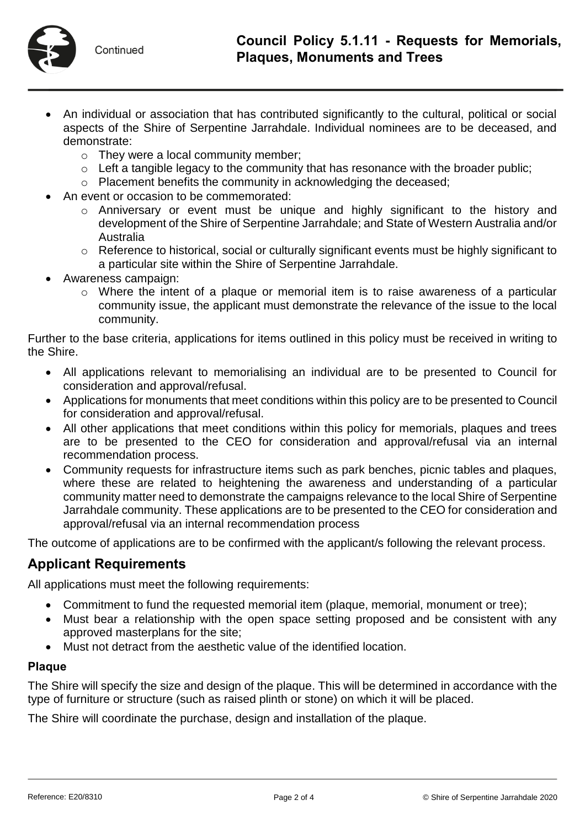

- An individual or association that has contributed significantly to the cultural, political or social aspects of the Shire of Serpentine Jarrahdale. Individual nominees are to be deceased, and demonstrate:
	- o They were a local community member;
	- $\circ$  Left a tangible legacy to the community that has resonance with the broader public;
	- o Placement benefits the community in acknowledging the deceased;
- An event or occasion to be commemorated:
	- o Anniversary or event must be unique and highly significant to the history and development of the Shire of Serpentine Jarrahdale; and State of Western Australia and/or Australia
	- o Reference to historical, social or culturally significant events must be highly significant to a particular site within the Shire of Serpentine Jarrahdale.
- Awareness campaign:
	- $\circ$  Where the intent of a plaque or memorial item is to raise awareness of a particular community issue, the applicant must demonstrate the relevance of the issue to the local community.

Further to the base criteria, applications for items outlined in this policy must be received in writing to the Shire.

- All applications relevant to memorialising an individual are to be presented to Council for consideration and approval/refusal.
- Applications for monuments that meet conditions within this policy are to be presented to Council for consideration and approval/refusal.
- All other applications that meet conditions within this policy for memorials, plaques and trees are to be presented to the CEO for consideration and approval/refusal via an internal recommendation process.
- Community requests for infrastructure items such as park benches, picnic tables and plaques, where these are related to heightening the awareness and understanding of a particular community matter need to demonstrate the campaigns relevance to the local Shire of Serpentine Jarrahdale community. These applications are to be presented to the CEO for consideration and approval/refusal via an internal recommendation process

The outcome of applications are to be confirmed with the applicant/s following the relevant process.

# **Applicant Requirements**

All applications must meet the following requirements:

- Commitment to fund the requested memorial item (plaque, memorial, monument or tree);
- Must bear a relationship with the open space setting proposed and be consistent with any approved masterplans for the site;
- Must not detract from the aesthetic value of the identified location.

### **Plaque**

The Shire will specify the size and design of the plaque. This will be determined in accordance with the type of furniture or structure (such as raised plinth or stone) on which it will be placed.

The Shire will coordinate the purchase, design and installation of the plaque.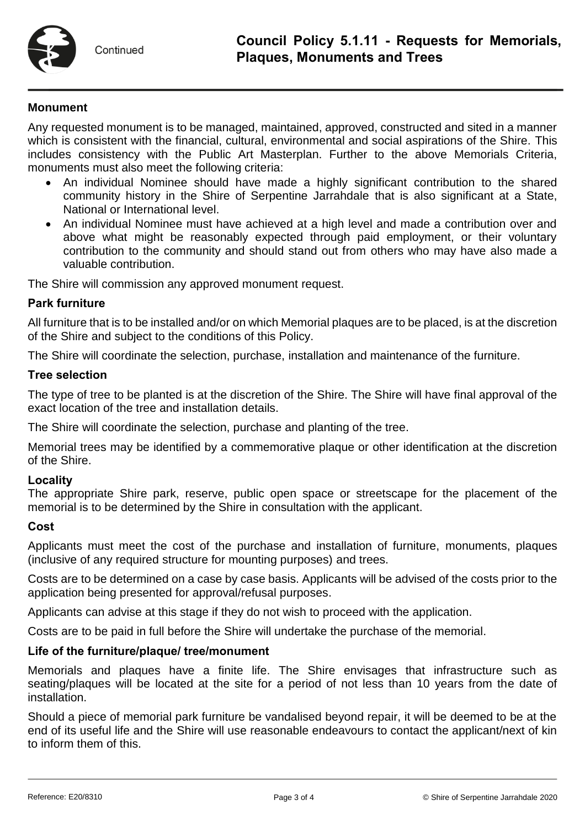

### **Monument**

Any requested monument is to be managed, maintained, approved, constructed and sited in a manner which is consistent with the financial, cultural, environmental and social aspirations of the Shire. This includes consistency with the Public Art Masterplan. Further to the above Memorials Criteria, monuments must also meet the following criteria:

- An individual Nominee should have made a highly significant contribution to the shared community history in the Shire of Serpentine Jarrahdale that is also significant at a State, National or International level.
- An individual Nominee must have achieved at a high level and made a contribution over and above what might be reasonably expected through paid employment, or their voluntary contribution to the community and should stand out from others who may have also made a valuable contribution.

The Shire will commission any approved monument request.

### **Park furniture**

All furniture that is to be installed and/or on which Memorial plaques are to be placed, is at the discretion of the Shire and subject to the conditions of this Policy.

The Shire will coordinate the selection, purchase, installation and maintenance of the furniture.

#### **Tree selection**

The type of tree to be planted is at the discretion of the Shire. The Shire will have final approval of the exact location of the tree and installation details.

The Shire will coordinate the selection, purchase and planting of the tree.

Memorial trees may be identified by a commemorative plaque or other identification at the discretion of the Shire.

#### **Locality**

The appropriate Shire park, reserve, public open space or streetscape for the placement of the memorial is to be determined by the Shire in consultation with the applicant.

#### **Cost**

Applicants must meet the cost of the purchase and installation of furniture, monuments, plaques (inclusive of any required structure for mounting purposes) and trees.

Costs are to be determined on a case by case basis. Applicants will be advised of the costs prior to the application being presented for approval/refusal purposes.

Applicants can advise at this stage if they do not wish to proceed with the application.

Costs are to be paid in full before the Shire will undertake the purchase of the memorial.

#### **Life of the furniture/plaque/ tree/monument**

Memorials and plaques have a finite life. The Shire envisages that infrastructure such as seating/plaques will be located at the site for a period of not less than 10 years from the date of installation.

Should a piece of memorial park furniture be vandalised beyond repair, it will be deemed to be at the end of its useful life and the Shire will use reasonable endeavours to contact the applicant/next of kin to inform them of this.